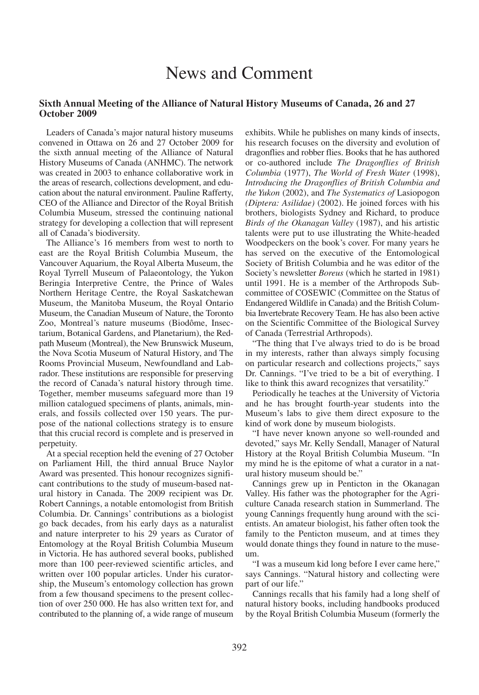# News and Comment

### **Sixth Annual Meeting of the Alliance of Natural History Museums of Canada, 26 and 27 October 2009**

Leaders of Canada's major natural history museums convened in Ottawa on 26 and 27 October 2009 for the sixth annual meeting of the Alliance of Natural History Museums of Canada (ANHMC). The network was created in 2003 to enhance collaborative work in the areas of research, collections development, and education about the natural environment. Pauline Rafferty, CEO of the Alliance and Director of the Royal British Columbia Museum, stressed the continuing national strategy for developing a collection that will represent all of Canada's biodiversity.

The Alliance's 16 members from west to north to east are the Royal British Columbia Museum, the Vancouver Aquarium, the Royal Alberta Museum, the Royal Tyrrell Museum of Palaeontology, the Yukon Beringia Interpretive Centre, the Prince of Wales Northern Heritage Centre, the Royal Saskatchewan Museum, the Manitoba Museum, the Royal Ontario Museum, the Canadian Museum of Nature, the Toronto Zoo, Montreal's nature museums (Biodôme, Insectarium, Botanical Gardens, and Planetarium), the Redpath Museum (Montreal), the New Brunswick Museum, the Nova Scotia Museum of Natural History, and The Rooms Provincial Museum, Newfoundland and Labrador. These institutions are responsible for preserving the record of Canada's natural history through time. Together, member museums safeguard more than 19 million catalogued specimens of plants, animals, minerals, and fossils collected over 150 years. The purpose of the national collections strategy is to ensure that this crucial record is complete and is preserved in perpetuity.

At a special reception held the evening of 27 October on Parliament Hill, the third annual Bruce Naylor Award was presented. This honour recognizes significant contributions to the study of museum-based natural history in Canada. The 2009 recipient was Dr. Robert Cannings, a notable entomologist from British Columbia. Dr. Cannings' contributions as a biologist go back decades, from his early days as a naturalist and nature interpreter to his 29 years as Curator of Entomology at the Royal British Columbia Museum in Victoria. He has authored several books, published more than 100 peer-reviewed scientific articles, and written over 100 popular articles. Under his curatorship, the Museum's entomology collection has grown from a few thousand specimens to the present collection of over 250 000. He has also written text for, and contributed to the planning of, a wide range of museum

exhibits. While he publishes on many kinds of insects, his research focuses on the diversity and evolution of dragonflies and robber flies. Books that he has authored or co-authored include *The Dragonflies of British Columbia* (1977), *The World of Fresh Water* (1998), *Introducing the Dragonflies of British Columbia and the Yukon* (2002), and *The Systematics of* Lasiopogon *(Diptera: Asilidae)* (2002). He joined forces with his brothers, biologists Sydney and Richard, to produce *Birds of the Okanagan Valley* (1987), and his artistic talents were put to use illustrating the White-headed Woodpeckers on the book's cover. For many years he has served on the executive of the Entomological Society of British Columbia and he was editor of the Society's newsletter *Boreus* (which he started in 1981) until 1991. He is a member of the Arthropods Subcommittee of COSEWIC (Committee on the Status of Endangered Wildlife in Canada) and the British Columbia Invertebrate Recovery Team. He has also been active on the Scientific Committee of the Biological Survey of Canada (Terrestrial Arthropods).

"The thing that I've always tried to do is be broad in my interests, rather than always simply focusing on particular research and collections projects," says Dr. Cannings. "I've tried to be a bit of everything. I like to think this award recognizes that versatility."

Periodically he teaches at the University of Victoria and he has brought fourth-year students into the Museum's labs to give them direct exposure to the kind of work done by museum biologists.

"I have never known anyone so well-rounded and devoted," says Mr. Kelly Sendall, Manager of Natural History at the Royal British Columbia Museum. "In my mind he is the epitome of what a curator in a natural history museum should be."

Cannings grew up in Penticton in the Okanagan Valley. His father was the photographer for the Agriculture Canada research station in Summerland. The young Cannings frequently hung around with the scientists. An amateur biologist, his father often took the family to the Penticton museum, and at times they would donate things they found in nature to the museum.

"I was a museum kid long before I ever came here," says Cannings. "Natural history and collecting were part of our life."

Cannings recalls that his family had a long shelf of natural history books, including handbooks produced by the Royal British Columbia Museum (formerly the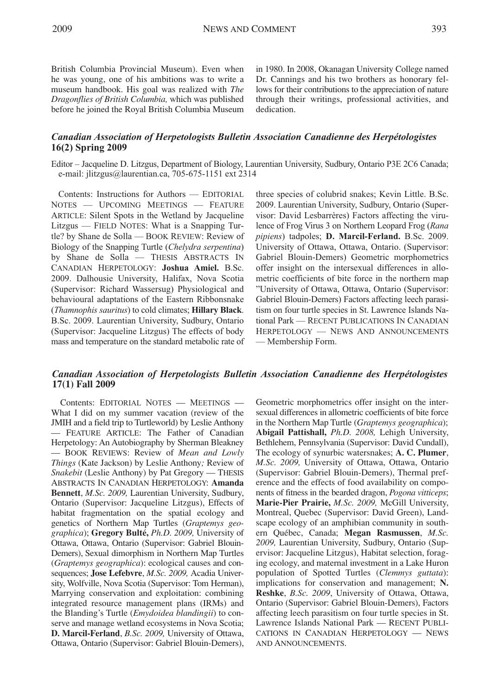British Columbia Provincial Museum). Even when he was young, one of his ambitions was to write a museum handbook. His goal was realized with *The Dragonflies of British Columbia,* which was published before he joined the Royal British Columbia Museum

in 1980. In 2008, Okanagan University College named Dr. Cannings and his two brothers as honorary fellows for their contributions to the appreciation of nature through their writings, professional activities, and dedication.

## *Canadian Association of Herpetologists Bulletin Association Canadienne des Herpétologistes* **16(2) Spring 2009**

Editor – Jacqueline D. Litzgus, Department of Biology, Laurentian University, Sudbury, Ontario P3E 2C6 Canada; e-mail: jlitzgus@laurentian.ca, 705-675-1151 ext 2314

Contents: Instructions for Authors — EDITORIAL NOTES — UPCOMING MEETINGS — FEATURE ARTICLE: Silent Spots in the Wetland by Jacqueline Litzgus — FIELD NOTES: What is a Snapping Turtle? by Shane de Solla — BOOK REVIEW: Review of Biology of the Snapping Turtle (*Chelydra serpentina*) by Shane de Solla — THESIS ABSTRACTS IN CANADIAN HERPETOLOGY: **Joshua Amiel.** B.Sc. 2009. Dalhousie University, Halifax, Nova Scotia (Supervisor: Richard Wassersug) Physiological and behavioural adaptations of the Eastern Ribbonsnake (*Thamnophis sauritus*) to cold climates; **Hillary Black**. B.Sc. 2009. Laurentian University, Sudbury, Ontario (Supervisor: Jacqueline Litzgus) The effects of body mass and temperature on the standard metabolic rate of

three species of colubrid snakes; Kevin Little. B.Sc. 2009. Laurentian University, Sudbury, Ontario (Supervisor: David Lesbarrères) Factors affecting the virulence of Frog Virus 3 on Northern Leopard Frog (*Rana pipiens*) tadpoles; **D. Marcil-Ferland.** B.Sc. 2009. University of Ottawa, Ottawa, Ontario. (Supervisor: Gabriel Blouin-Demers) Geometric morphometrics offer insight on the intersexual differences in allometric coefficients of bite force in the northern map "University of Ottawa, Ottawa, Ontario (Supervisor: Gabriel Blouin-Demers) Factors affecting leech parasitism on four turtle species in St. Lawrence Islands National Park — RECENT PUBLICATIONS IN CANADIAN HERPETOLOGY — NEWS AND ANNOUNCEMENTS — Membership Form.

## *Canadian Association of Herpetologists Bulletin Association Canadienne des Herpétologistes* **17(1) Fall 2009**

Contents: EDITORIAL NOTES — MEETINGS — What I did on my summer vacation (review of the JMIH and a field trip to Turtleworld) by Leslie Anthony — FEATURE ARTICLE: The Father of Canadian Herpetology: An Autobiography by Sherman Bleakney — BOOK REVIEWS: Review of *Mean and Lowly Things* (Kate Jackson) by Leslie Anthony*;* Review of *Snakebit* (Leslie Anthony) by Pat Gregory — THESIS ABSTRACTS IN CANADIAN HERPETOLOGY: **Amanda Bennett**, *M.Sc. 2009,* Laurentian University, Sudbury, Ontario (Supervisor: Jacqueline Litzgus), Effects of habitat fragmentation on the spatial ecology and genetics of Northern Map Turtles (*Graptemys geographica*); **Gregory Bulté,** *Ph.D. 2009,* University of Ottawa, Ottawa, Ontario (Supervisor: Gabriel Blouin-Demers), Sexual dimorphism in Northern Map Turtles (*Graptemys geographica*): ecological causes and consequences; **Jose Lefebvre**, *M.Sc. 2009,* Acadia University, Wolfville, Nova Scotia (Supervisor: Tom Herman), Marrying conservation and exploitation: combining integrated resource management plans (IRMs) and the Blanding's Turtle (*Emydoidea blandingii*) to conserve and manage wetland ecosystems in Nova Scotia; **D. Marcil-Ferland**, *B.Sc. 2009,* University of Ottawa, Ottawa, Ontario (Supervisor: Gabriel Blouin-Demers),

Geometric morphometrics offer insight on the intersexual differences in allometric coefficients of bite force in the Northern Map Turtle (*Graptemys geographica*); **Abigail Pattishall,** *Ph.D. 2008,* Lehigh University, Bethlehem, Pennsylvania (Supervisor: David Cundall), The ecology of synurbic watersnakes; **A. C. Plumer**, *M.Sc. 2009,* University of Ottawa, Ottawa, Ontario (Supervisor: Gabriel Blouin-Demers), Thermal preference and the effects of food availability on components of fitness in the bearded dragon, *Pogona vitticeps*; **Marie-Pier Prairie,** *M.Sc. 2009,* McGill University, Montreal, Quebec (Supervisor: David Green), Landscape ecology of an amphibian community in southern Québec, Canada; **Megan Rasmussen**, *M.Sc. 2009,* Laurentian University, Sudbury, Ontario (Supervisor: Jacqueline Litzgus), Habitat selection, foraging ecology, and maternal investment in a Lake Huron population of Spotted Turtles (*Clemmys guttata*): implications for conservation and management; **N. Reshke**, *B.Sc. 2009*, University of Ottawa, Ottawa, Ontario (Supervisor: Gabriel Blouin-Demers), Factors affecting leech parasitism on four turtle species in St. Lawrence Islands National Park — RECENT PUBLI-CATIONS IN CANADIAN HERPETOLOGY — NEWS AND ANNOUNCEMENTS.